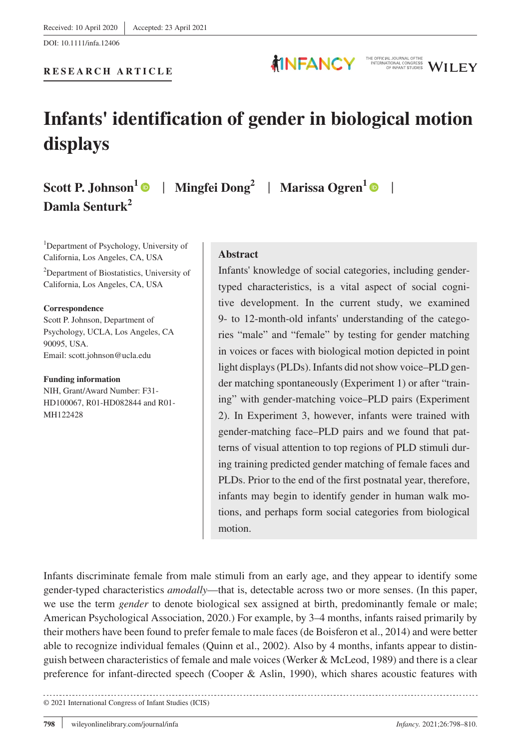**RESEARCH ARTICLE**

DOI: 10.1111/infa.12406

**displays**

**Damla Senturk<sup>2</sup>**

© 2021 International Congress of Infant Studies (ICIS)

# **Abstract**

**Infants' identification of gender in biological motion** 

Infants' knowledge of social categories, including gendertyped characteristics, is a vital aspect of social cognitive development. In the current study, we examined 9- to 12-month-old infants' understanding of the categories "male" and "female" by testing for gender matching in voices or faces with biological motion depicted in point light displays (PLDs). Infants did not show voice–PLD gender matching spontaneously (Experiment 1) or after "training" with gender-matching voice–PLD pairs (Experiment 2). In Experiment 3, however, infants were trained with gender-matching face–PLD pairs and we found that patterns of visual attention to top regions of PLD stimuli during training predicted gender matching of female faces and PLDs. Prior to the end of the first postnatal year, therefore, infants may begin to identify gender in human walk motions, and perhaps form social categories from biological motion.

Infants discriminate female from male stimuli from an early age, and they appear to identify some gender-typed characteristics *amodally*—that is, detectable across two or more senses. (In this paper, we use the term *gender* to denote biological sex assigned at birth, predominantly female or male; American Psychological Association, 2020.) For example, by 3–4 months, infants raised primarily by their mothers have been found to prefer female to male faces (de Boisferon et al., 2014) and were better able to recognize individual females (Quinn et al., 2002). Also by 4 months, infants appear to distinguish between characteristics of female and male voices (Werker & McLeod, 1989) and there is a clear preference for infant-directed speech (Cooper & Aslin, 1990), which shares acoustic features with

**Scott P. Johnson1** | **Mingfei Dong2** | **Marissa Ogren<sup>1</sup>** |

<sup>1</sup>Department of Psychology, University of California, Los Angeles, CA, USA <sup>2</sup>Department of Biostatistics, University of California, Los Angeles, CA, USA

**Correspondence**

Scott P. Johnson, Department of Psychology, UCLA, Los Angeles, CA 90095, USA. Email: [scott.johnson@ucla.edu](mailto:scott.johnson@ucla.edu)

#### **Funding information**

NIH, Grant/Award Number: F31- HD100067, R01-HD082844 and R01- MH122428



THE OFFICIAL JOURNAL OFTHE<br>INTERNATIONAL CONGRESS<br>OF INFANT STUDIES **WILEY**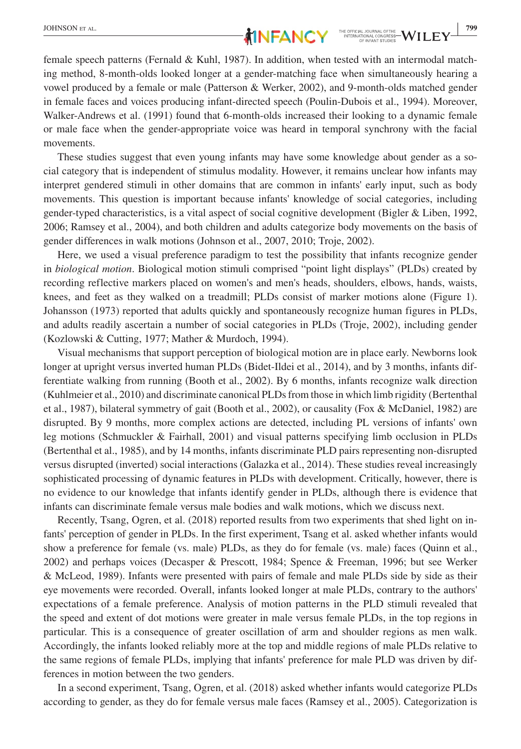female speech patterns (Fernald & Kuhl, 1987). In addition, when tested with an intermodal matching method, 8-month-olds looked longer at a gender-matching face when simultaneously hearing a vowel produced by a female or male (Patterson & Werker, 2002), and 9-month-olds matched gender in female faces and voices producing infant-directed speech (Poulin-Dubois et al., 1994). Moreover, Walker-Andrews et al. (1991) found that 6-month-olds increased their looking to a dynamic female or male face when the gender-appropriate voice was heard in temporal synchrony with the facial movements.

These studies suggest that even young infants may have some knowledge about gender as a social category that is independent of stimulus modality. However, it remains unclear how infants may interpret gendered stimuli in other domains that are common in infants' early input, such as body movements. This question is important because infants' knowledge of social categories, including gender-typed characteristics, is a vital aspect of social cognitive development (Bigler & Liben, 1992, 2006; Ramsey et al., 2004), and both children and adults categorize body movements on the basis of gender differences in walk motions (Johnson et al., 2007, 2010; Troje, 2002).

Here, we used a visual preference paradigm to test the possibility that infants recognize gender in *biological motion*. Biological motion stimuli comprised "point light displays" (PLDs) created by recording reflective markers placed on women's and men's heads, shoulders, elbows, hands, waists, knees, and feet as they walked on a treadmill; PLDs consist of marker motions alone (Figure 1). Johansson (1973) reported that adults quickly and spontaneously recognize human figures in PLDs, and adults readily ascertain a number of social categories in PLDs (Troje, 2002), including gender (Kozlowski & Cutting, 1977; Mather & Murdoch, 1994).

Visual mechanisms that support perception of biological motion are in place early. Newborns look longer at upright versus inverted human PLDs (Bidet-Ildei et al., 2014), and by 3 months, infants differentiate walking from running (Booth et al., 2002). By 6 months, infants recognize walk direction (Kuhlmeier et al., 2010) and discriminate canonical PLDs from those in which limb rigidity (Bertenthal et al., 1987), bilateral symmetry of gait (Booth et al., 2002), or causality (Fox & McDaniel, 1982) are disrupted. By 9 months, more complex actions are detected, including PL versions of infants' own leg motions (Schmuckler & Fairhall, 2001) and visual patterns specifying limb occlusion in PLDs (Bertenthal et al., 1985), and by 14 months, infants discriminate PLD pairs representing non-disrupted versus disrupted (inverted) social interactions (Galazka et al., 2014). These studies reveal increasingly sophisticated processing of dynamic features in PLDs with development. Critically, however, there is no evidence to our knowledge that infants identify gender in PLDs, although there is evidence that infants can discriminate female versus male bodies and walk motions, which we discuss next.

Recently, Tsang, Ogren, et al. (2018) reported results from two experiments that shed light on infants' perception of gender in PLDs. In the first experiment, Tsang et al. asked whether infants would show a preference for female (vs. male) PLDs, as they do for female (vs. male) faces (Quinn et al., 2002) and perhaps voices (Decasper & Prescott, 1984; Spence & Freeman, 1996; but see Werker & McLeod, 1989). Infants were presented with pairs of female and male PLDs side by side as their eye movements were recorded. Overall, infants looked longer at male PLDs, contrary to the authors' expectations of a female preference. Analysis of motion patterns in the PLD stimuli revealed that the speed and extent of dot motions were greater in male versus female PLDs, in the top regions in particular. This is a consequence of greater oscillation of arm and shoulder regions as men walk. Accordingly, the infants looked reliably more at the top and middle regions of male PLDs relative to the same regions of female PLDs, implying that infants' preference for male PLD was driven by differences in motion between the two genders.

In a second experiment, Tsang, Ogren, et al. (2018) asked whether infants would categorize PLDs according to gender, as they do for female versus male faces (Ramsey et al., 2005). Categorization is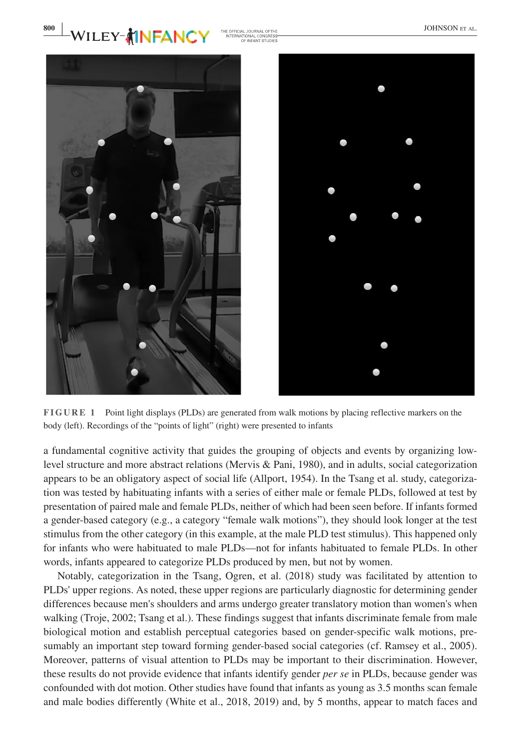





**FIGURE 1** Point light displays (PLDs) are generated from walk motions by placing reflective markers on the body (left). Recordings of the "points of light" (right) were presented to infants

a fundamental cognitive activity that guides the grouping of objects and events by organizing lowlevel structure and more abstract relations (Mervis & Pani, 1980), and in adults, social categorization appears to be an obligatory aspect of social life (Allport, 1954). In the Tsang et al. study, categorization was tested by habituating infants with a series of either male or female PLDs, followed at test by presentation of paired male and female PLDs, neither of which had been seen before. If infants formed a gender-based category (e.g., a category "female walk motions"), they should look longer at the test stimulus from the other category (in this example, at the male PLD test stimulus). This happened only for infants who were habituated to male PLDs—not for infants habituated to female PLDs. In other words, infants appeared to categorize PLDs produced by men, but not by women.

Notably, categorization in the Tsang, Ogren, et al. (2018) study was facilitated by attention to PLDs' upper regions. As noted, these upper regions are particularly diagnostic for determining gender differences because men's shoulders and arms undergo greater translatory motion than women's when walking (Troje, 2002; Tsang et al.). These findings suggest that infants discriminate female from male biological motion and establish perceptual categories based on gender-specific walk motions, presumably an important step toward forming gender-based social categories (cf. Ramsey et al., 2005). Moreover, patterns of visual attention to PLDs may be important to their discrimination. However, these results do not provide evidence that infants identify gender *per se* in PLDs, because gender was confounded with dot motion. Other studies have found that infants as young as 3.5 months scan female and male bodies differently (White et al., 2018, 2019) and, by 5 months, appear to match faces and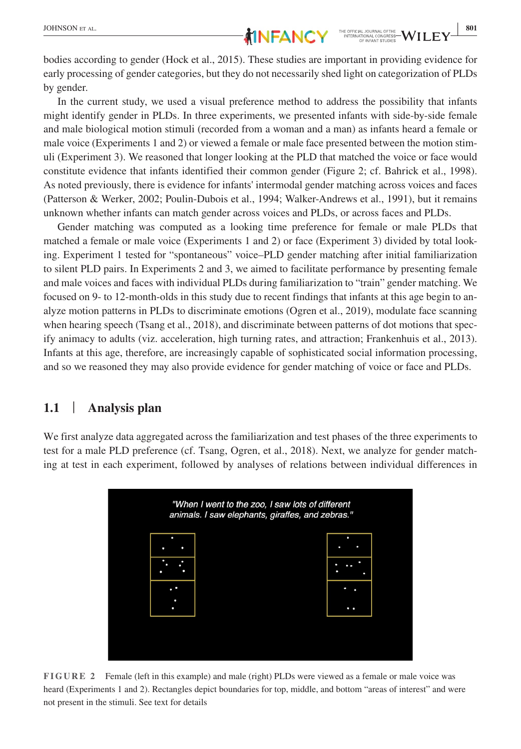bodies according to gender (Hock et al., 2015). These studies are important in providing evidence for early processing of gender categories, but they do not necessarily shed light on categorization of PLDs by gender.

In the current study, we used a visual preference method to address the possibility that infants might identify gender in PLDs. In three experiments, we presented infants with side-by-side female and male biological motion stimuli (recorded from a woman and a man) as infants heard a female or male voice (Experiments 1 and 2) or viewed a female or male face presented between the motion stimuli (Experiment 3). We reasoned that longer looking at the PLD that matched the voice or face would constitute evidence that infants identified their common gender (Figure 2; cf. Bahrick et al., 1998). As noted previously, there is evidence for infants' intermodal gender matching across voices and faces (Patterson & Werker, 2002; Poulin-Dubois et al., 1994; Walker-Andrews et al., 1991), but it remains unknown whether infants can match gender across voices and PLDs, or across faces and PLDs.

Gender matching was computed as a looking time preference for female or male PLDs that matched a female or male voice (Experiments 1 and 2) or face (Experiment 3) divided by total looking. Experiment 1 tested for "spontaneous" voice–PLD gender matching after initial familiarization to silent PLD pairs. In Experiments 2 and 3, we aimed to facilitate performance by presenting female and male voices and faces with individual PLDs during familiarization to "train" gender matching. We focused on 9- to 12-month-olds in this study due to recent findings that infants at this age begin to analyze motion patterns in PLDs to discriminate emotions (Ogren et al., 2019), modulate face scanning when hearing speech (Tsang et al., 2018), and discriminate between patterns of dot motions that specify animacy to adults (viz. acceleration, high turning rates, and attraction; Frankenhuis et al., 2013). Infants at this age, therefore, are increasingly capable of sophisticated social information processing, and so we reasoned they may also provide evidence for gender matching of voice or face and PLDs.

#### **1.1** | **Analysis plan**

We first analyze data aggregated across the familiarization and test phases of the three experiments to test for a male PLD preference (cf. Tsang, Ogren, et al., 2018). Next, we analyze for gender matching at test in each experiment, followed by analyses of relations between individual differences in



**FIGURE 2** Female (left in this example) and male (right) PLDs were viewed as a female or male voice was heard (Experiments 1 and 2). Rectangles depict boundaries for top, middle, and bottom "areas of interest" and were not present in the stimuli. See text for details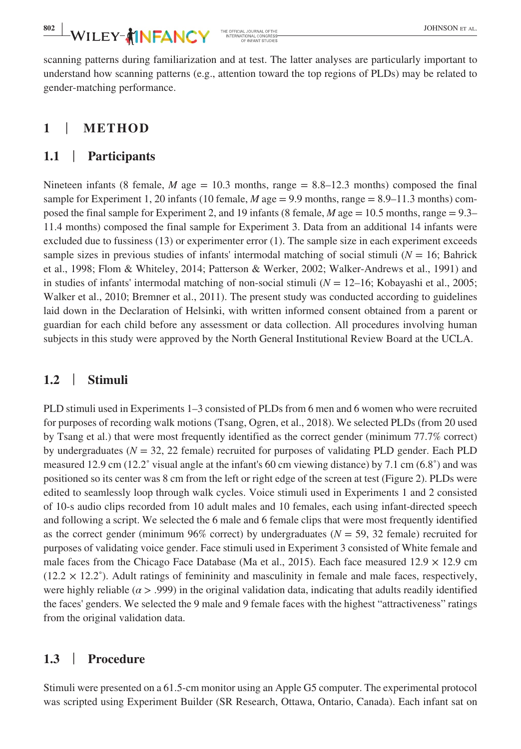scanning patterns during familiarization and at test. The latter analyses are particularly important to understand how scanning patterns (e.g., attention toward the top regions of PLDs) may be related to gender-matching performance.

# **1** | **METHOD**

#### **1.1** | **Participants**

Nineteen infants (8 female,  $M$  age  $= 10.3$  months, range  $= 8.8 - 12.3$  months) composed the final sample for Experiment 1, 20 infants (10 female, *M* age = 9.9 months, range = 8.9–11.3 months) composed the final sample for Experiment 2, and 19 infants (8 female, *M* age = 10.5 months, range = 9.3– 11.4 months) composed the final sample for Experiment 3. Data from an additional 14 infants were excluded due to fussiness (13) or experimenter error (1). The sample size in each experiment exceeds sample sizes in previous studies of infants' intermodal matching of social stimuli  $(N = 16)$ ; Bahrick et al., 1998; Flom & Whiteley, 2014; Patterson & Werker, 2002; Walker-Andrews et al., 1991) and in studies of infants' intermodal matching of non-social stimuli (*N* = 12–16; Kobayashi et al., 2005; Walker et al., 2010; Bremner et al., 2011). The present study was conducted according to guidelines laid down in the Declaration of Helsinki, with written informed consent obtained from a parent or guardian for each child before any assessment or data collection. All procedures involving human subjects in this study were approved by the North General Institutional Review Board at the UCLA.

# **1.2** | **Stimuli**

PLD stimuli used in Experiments 1–3 consisted of PLDs from 6 men and 6 women who were recruited for purposes of recording walk motions (Tsang, Ogren, et al., 2018). We selected PLDs (from 20 used by Tsang et al.) that were most frequently identified as the correct gender (minimum 77.7% correct) by undergraduates  $(N = 32, 22$  female) recruited for purposes of validating PLD gender. Each PLD measured 12.9 cm (12.2˚ visual angle at the infant's 60 cm viewing distance) by 7.1 cm (6.8˚) and was positioned so its center was 8 cm from the left or right edge of the screen at test (Figure 2). PLDs were edited to seamlessly loop through walk cycles. Voice stimuli used in Experiments 1 and 2 consisted of 10-s audio clips recorded from 10 adult males and 10 females, each using infant-directed speech and following a script. We selected the 6 male and 6 female clips that were most frequently identified as the correct gender (minimum 96% correct) by undergraduates  $(N = 59, 32$  female) recruited for purposes of validating voice gender. Face stimuli used in Experiment 3 consisted of White female and male faces from the Chicago Face Database (Ma et al., 2015). Each face measured  $12.9 \times 12.9$  cm  $(12.2 \times 12.2^{\circ})$ . Adult ratings of femininity and masculinity in female and male faces, respectively, were highly reliable ( $\alpha$  > .999) in the original validation data, indicating that adults readily identified the faces' genders. We selected the 9 male and 9 female faces with the highest "attractiveness" ratings from the original validation data.

# **1.3** | **Procedure**

Stimuli were presented on a 61.5-cm monitor using an Apple G5 computer. The experimental protocol was scripted using Experiment Builder (SR Research, Ottawa, Ontario, Canada). Each infant sat on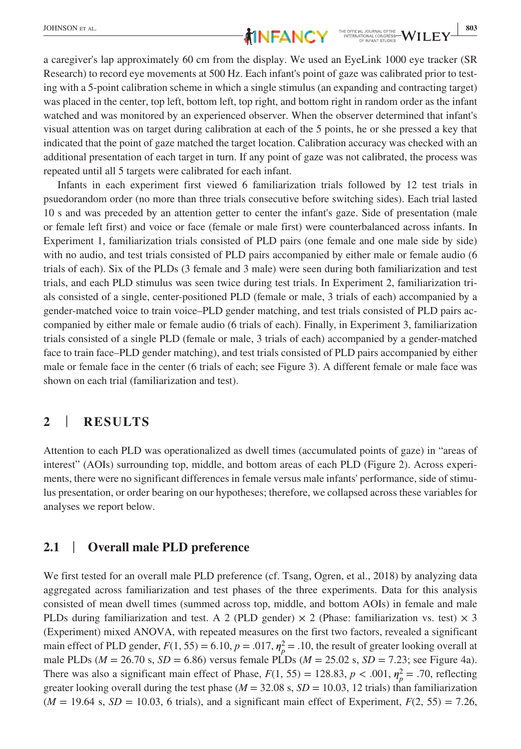a caregiver's lap approximately 60 cm from the display. We used an EyeLink 1000 eye tracker (SR Research) to record eye movements at 500 Hz. Each infant's point of gaze was calibrated prior to testing with a 5-point calibration scheme in which a single stimulus (an expanding and contracting target) was placed in the center, top left, bottom left, top right, and bottom right in random order as the infant watched and was monitored by an experienced observer. When the observer determined that infant's visual attention was on target during calibration at each of the 5 points, he or she pressed a key that indicated that the point of gaze matched the target location. Calibration accuracy was checked with an additional presentation of each target in turn. If any point of gaze was not calibrated, the process was repeated until all 5 targets were calibrated for each infant.

Infants in each experiment first viewed 6 familiarization trials followed by 12 test trials in psuedorandom order (no more than three trials consecutive before switching sides). Each trial lasted 10 s and was preceded by an attention getter to center the infant's gaze. Side of presentation (male or female left first) and voice or face (female or male first) were counterbalanced across infants. In Experiment 1, familiarization trials consisted of PLD pairs (one female and one male side by side) with no audio, and test trials consisted of PLD pairs accompanied by either male or female audio (6 trials of each). Six of the PLDs (3 female and 3 male) were seen during both familiarization and test trials, and each PLD stimulus was seen twice during test trials. In Experiment 2, familiarization trials consisted of a single, center-positioned PLD (female or male, 3 trials of each) accompanied by a gender-matched voice to train voice–PLD gender matching, and test trials consisted of PLD pairs accompanied by either male or female audio (6 trials of each). Finally, in Experiment 3, familiarization trials consisted of a single PLD (female or male, 3 trials of each) accompanied by a gender-matched face to train face–PLD gender matching), and test trials consisted of PLD pairs accompanied by either male or female face in the center (6 trials of each; see Figure 3). A different female or male face was shown on each trial (familiarization and test).

# **2** | **RESULTS**

Attention to each PLD was operationalized as dwell times (accumulated points of gaze) in "areas of interest" (AOIs) surrounding top, middle, and bottom areas of each PLD (Figure 2). Across experiments, there were no significant differences in female versus male infants' performance, side of stimulus presentation, or order bearing on our hypotheses; therefore, we collapsed across these variables for analyses we report below.

# **2.1** | **Overall male PLD preference**

We first tested for an overall male PLD preference (cf. Tsang, Ogren, et al., 2018) by analyzing data aggregated across familiarization and test phases of the three experiments. Data for this analysis consisted of mean dwell times (summed across top, middle, and bottom AOIs) in female and male PLDs during familiarization and test. A 2 (PLD gender)  $\times$  2 (Phase: familiarization vs. test)  $\times$  3 (Experiment) mixed ANOVA, with repeated measures on the first two factors, revealed a significant main effect of PLD gender,  $F(1, 55) = 6.10$ ,  $p = .017$ ,  $\eta_p^2 = .10$ , the result of greater looking overall at male PLDs ( $M = 26.70$  s,  $SD = 6.86$ ) versus female PLDs ( $M = 25.02$  s,  $SD = 7.23$ ; see Figure 4a). There was also a significant main effect of Phase,  $F(1, 55) = 128.83$ ,  $p < .001$ ,  $\eta_p^2 = .70$ , reflecting greater looking overall during the test phase ( $M = 32.08$  s,  $SD = 10.03$ , 12 trials) than familiarization  $(M = 19.64 \text{ s}, SD = 10.03, 6 \text{ trials})$ , and a significant main effect of Experiment,  $F(2, 55) = 7.26$ ,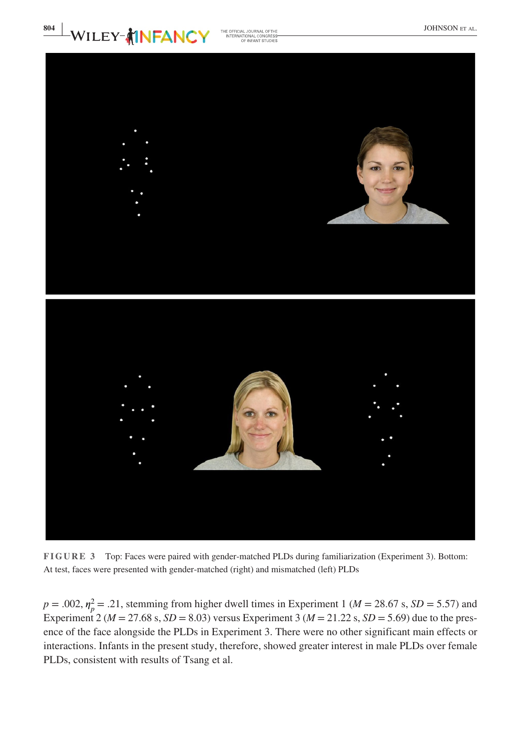



**FIGURE 3** Top: Faces were paired with gender-matched PLDs during familiarization (Experiment 3). Bottom: At test, faces were presented with gender-matched (right) and mismatched (left) PLDs

 $p = .002$ ,  $\eta_p^2 = .21$ , stemming from higher dwell times in Experiment 1 ( $M = 28.67$  s,  $SD = 5.57$ ) and Experiment 2 ( $M = 27.68$  s,  $SD = 8.03$ ) versus Experiment 3 ( $M = 21.22$  s,  $SD = 5.69$ ) due to the presence of the face alongside the PLDs in Experiment 3. There were no other significant main effects or interactions. Infants in the present study, therefore, showed greater interest in male PLDs over female PLDs, consistent with results of Tsang et al.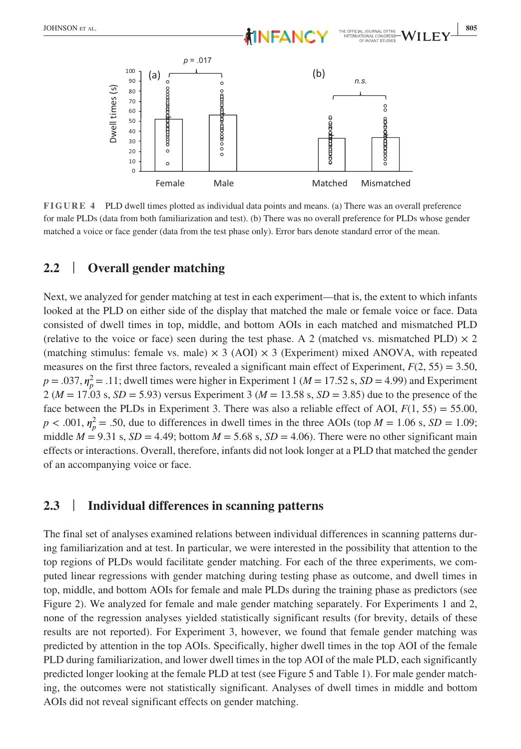

**FIGURE 4** PLD dwell times plotted as individual data points and means. (a) There was an overall preference for male PLDs (data from both familiarization and test). (b) There was no overall preference for PLDs whose gender matched a voice or face gender (data from the test phase only). Error bars denote standard error of the mean.

#### **2.2** | **Overall gender matching**

Next, we analyzed for gender matching at test in each experiment—that is, the extent to which infants looked at the PLD on either side of the display that matched the male or female voice or face. Data consisted of dwell times in top, middle, and bottom AOIs in each matched and mismatched PLD (relative to the voice or face) seen during the test phase. A 2 (matched vs. mismatched PLD)  $\times$  2 (matching stimulus: female vs. male)  $\times$  3 (AOI)  $\times$  3 (Experiment) mixed ANOVA, with repeated measures on the first three factors, revealed a significant main effect of Experiment,  $F(2, 55) = 3.50$ ,  $p = .037$ ,  $\eta_p^2 = .11$ ; dwell times were higher in Experiment 1 ( $M = 17.52$  s,  $SD = 4.99$ ) and Experiment  $2 (M = 17.03 \text{ s}, SD = 5.93)$  versus Experiment 3 ( $M = 13.58 \text{ s}, SD = 3.85$ ) due to the presence of the face between the PLDs in Experiment 3. There was also a reliable effect of AOI,  $F(1, 55) = 55.00$ ,  $p < .001$ ,  $\eta_p^2 = .50$ , due to differences in dwell times in the three AOIs (top *M* = 1.06 s, *SD* = 1.09; middle  $M = 9.31$  s,  $SD = 4.49$ ; bottom  $M = 5.68$  s,  $SD = 4.06$ ). There were no other significant main effects or interactions. Overall, therefore, infants did not look longer at a PLD that matched the gender of an accompanying voice or face.

## **2.3** | **Individual differences in scanning patterns**

The final set of analyses examined relations between individual differences in scanning patterns during familiarization and at test. In particular, we were interested in the possibility that attention to the top regions of PLDs would facilitate gender matching. For each of the three experiments, we computed linear regressions with gender matching during testing phase as outcome, and dwell times in top, middle, and bottom AOIs for female and male PLDs during the training phase as predictors (see Figure 2). We analyzed for female and male gender matching separately. For Experiments 1 and 2, none of the regression analyses yielded statistically significant results (for brevity, details of these results are not reported). For Experiment 3, however, we found that female gender matching was predicted by attention in the top AOIs. Specifically, higher dwell times in the top AOI of the female PLD during familiarization, and lower dwell times in the top AOI of the male PLD, each significantly predicted longer looking at the female PLD at test (see Figure 5 and Table 1). For male gender matching, the outcomes were not statistically significant. Analyses of dwell times in middle and bottom AOIs did not reveal significant effects on gender matching.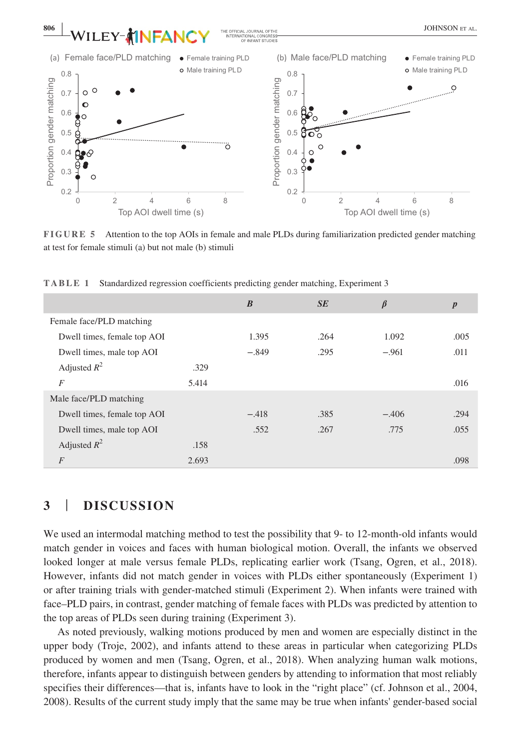

**FIGURE 5** Attention to the top AOIs in female and male PLDs during familiarization predicted gender matching at test for female stimuli (a) but not male (b) stimuli

|                             |       | $\boldsymbol{B}$ | SE   | $\beta$ | $\boldsymbol{p}$ |
|-----------------------------|-------|------------------|------|---------|------------------|
| Female face/PLD matching    |       |                  |      |         |                  |
| Dwell times, female top AOI |       | 1.395            | .264 | 1.092   | .005             |
| Dwell times, male top AOI   |       | $-.849$          | .295 | $-.961$ | .011             |
| Adjusted $R^2$              | .329  |                  |      |         |                  |
| $\overline{F}$              | 5.414 |                  |      |         | .016             |
| Male face/PLD matching      |       |                  |      |         |                  |
| Dwell times, female top AOI |       | $-.418$          | .385 | $-.406$ | .294             |
| Dwell times, male top AOI   |       | .552             | .267 | .775    | .055             |
| Adjusted $R^2$              | .158  |                  |      |         |                  |
| $\overline{F}$              | 2.693 |                  |      |         | .098             |

**TABLE 1** Standardized regression coefficients predicting gender matching, Experiment 3

## **3** | **DISCUSSION**

We used an intermodal matching method to test the possibility that 9- to 12-month-old infants would match gender in voices and faces with human biological motion. Overall, the infants we observed looked longer at male versus female PLDs, replicating earlier work (Tsang, Ogren, et al., 2018). However, infants did not match gender in voices with PLDs either spontaneously (Experiment 1) or after training trials with gender-matched stimuli (Experiment 2). When infants were trained with face–PLD pairs, in contrast, gender matching of female faces with PLDs was predicted by attention to the top areas of PLDs seen during training (Experiment 3).

As noted previously, walking motions produced by men and women are especially distinct in the upper body (Troje, 2002), and infants attend to these areas in particular when categorizing PLDs produced by women and men (Tsang, Ogren, et al., 2018). When analyzing human walk motions, therefore, infants appear to distinguish between genders by attending to information that most reliably specifies their differences—that is, infants have to look in the "right place" (cf. Johnson et al., 2004, 2008). Results of the current study imply that the same may be true when infants' gender-based social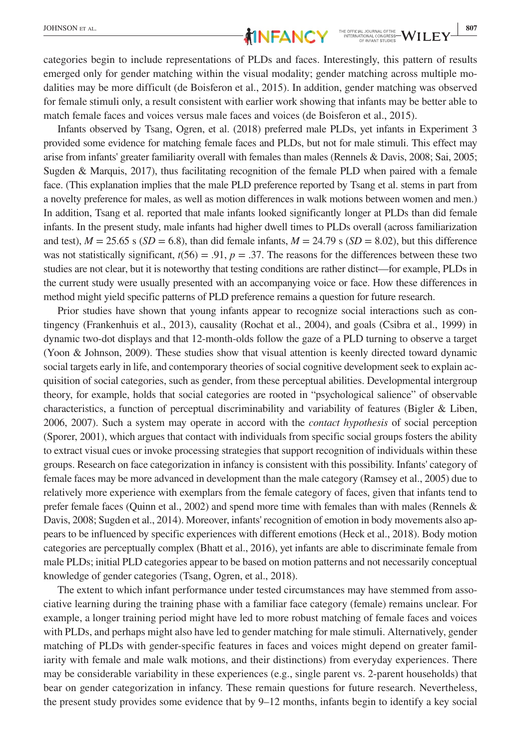categories begin to include representations of PLDs and faces. Interestingly, this pattern of results emerged only for gender matching within the visual modality; gender matching across multiple modalities may be more difficult (de Boisferon et al., 2015). In addition, gender matching was observed for female stimuli only, a result consistent with earlier work showing that infants may be better able to match female faces and voices versus male faces and voices (de Boisferon et al., 2015).

Infants observed by Tsang, Ogren, et al. (2018) preferred male PLDs, yet infants in Experiment 3 provided some evidence for matching female faces and PLDs, but not for male stimuli. This effect may arise from infants' greater familiarity overall with females than males (Rennels & Davis, 2008; Sai, 2005; Sugden & Marquis, 2017), thus facilitating recognition of the female PLD when paired with a female face. (This explanation implies that the male PLD preference reported by Tsang et al. stems in part from a novelty preference for males, as well as motion differences in walk motions between women and men.) In addition, Tsang et al. reported that male infants looked significantly longer at PLDs than did female infants. In the present study, male infants had higher dwell times to PLDs overall (across familiarization and test),  $M = 25.65$  s ( $SD = 6.8$ ), than did female infants,  $M = 24.79$  s ( $SD = 8.02$ ), but this difference was not statistically significant,  $t(56) = .91$ ,  $p = .37$ . The reasons for the differences between these two studies are not clear, but it is noteworthy that testing conditions are rather distinct—for example, PLDs in the current study were usually presented with an accompanying voice or face. How these differences in method might yield specific patterns of PLD preference remains a question for future research.

Prior studies have shown that young infants appear to recognize social interactions such as contingency (Frankenhuis et al., 2013), causality (Rochat et al., 2004), and goals (Csibra et al., 1999) in dynamic two-dot displays and that 12-month-olds follow the gaze of a PLD turning to observe a target (Yoon & Johnson, 2009). These studies show that visual attention is keenly directed toward dynamic social targets early in life, and contemporary theories of social cognitive development seek to explain acquisition of social categories, such as gender, from these perceptual abilities. Developmental intergroup theory, for example, holds that social categories are rooted in "psychological salience" of observable characteristics, a function of perceptual discriminability and variability of features (Bigler & Liben, 2006, 2007). Such a system may operate in accord with the *contact hypothesis* of social perception (Sporer, 2001), which argues that contact with individuals from specific social groups fosters the ability to extract visual cues or invoke processing strategies that support recognition of individuals within these groups. Research on face categorization in infancy is consistent with this possibility. Infants' category of female faces may be more advanced in development than the male category (Ramsey et al., 2005) due to relatively more experience with exemplars from the female category of faces, given that infants tend to prefer female faces (Quinn et al., 2002) and spend more time with females than with males (Rennels & Davis, 2008; Sugden et al., 2014). Moreover, infants' recognition of emotion in body movements also appears to be influenced by specific experiences with different emotions (Heck et al., 2018). Body motion categories are perceptually complex (Bhatt et al., 2016), yet infants are able to discriminate female from male PLDs; initial PLD categories appear to be based on motion patterns and not necessarily conceptual knowledge of gender categories (Tsang, Ogren, et al., 2018).

The extent to which infant performance under tested circumstances may have stemmed from associative learning during the training phase with a familiar face category (female) remains unclear. For example, a longer training period might have led to more robust matching of female faces and voices with PLDs, and perhaps might also have led to gender matching for male stimuli. Alternatively, gender matching of PLDs with gender-specific features in faces and voices might depend on greater familiarity with female and male walk motions, and their distinctions) from everyday experiences. There may be considerable variability in these experiences (e.g., single parent vs. 2-parent households) that bear on gender categorization in infancy. These remain questions for future research. Nevertheless, the present study provides some evidence that by 9–12 months, infants begin to identify a key social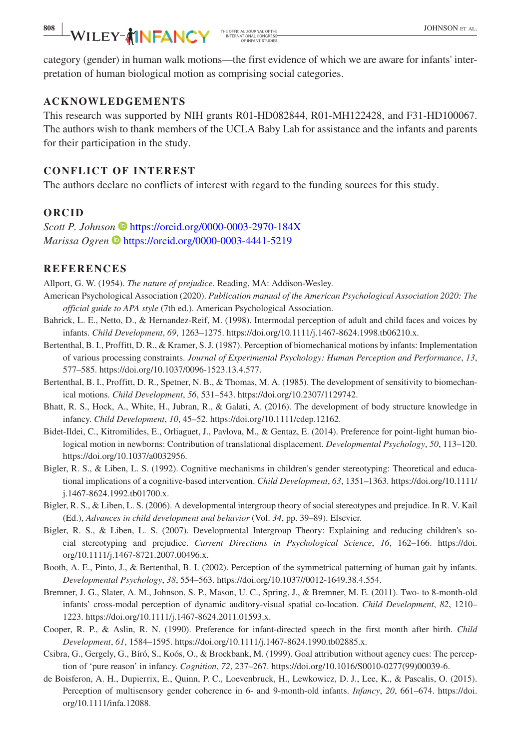category (gender) in human walk motions—the first evidence of which we are aware for infants' interpretation of human biological motion as comprising social categories.

#### **ACKNOWLEDGEMENTS**

This research was supported by NIH grants R01-HD082844, R01-MH122428, and F31-HD100067. The authors wish to thank members of the UCLA Baby Lab for assistance and the infants and parents for their participation in the study.

#### **CONFLICT OF INTEREST**

The authors declare no conflicts of interest with regard to the funding sources for this study.

#### **ORCID**

*Scott P. Johnson* <https://orcid.org/0000-0003-2970-184X> *Marissa Ogren* <https://orcid.org/0000-0003-4441-5219>

#### **REFERENCES**

Allport, G. W. (1954). *The nature of prejudice*. Reading, MA: Addison-Wesley.

- American Psychological Association (2020). *Publication manual of the American Psychological Association 2020: The official guide to APA style* (7th ed.). American Psychological Association.
- Bahrick, L. E., Netto, D., & Hernandez-Reif, M. (1998). Intermodal perception of adult and child faces and voices by infants. *Child Development*, *69*, 1263–1275. [https://doi.org/10.1111/j.1467-8624.1998.tb06210.x.](https://doi.org/10.1111/j.1467-8624.1998.tb06210.x)
- Bertenthal, B. I., Proffitt, D. R., & Kramer, S. J. (1987). Perception of biomechanical motions by infants: Implementation of various processing constraints. *Journal of Experimental Psychology: Human Perception and Performance*, *13*, 577–585. <https://doi.org/10.1037/0096-1523.13.4.577>.
- Bertenthal, B. I., Proffitt, D. R., Spetner, N. B., & Thomas, M. A. (1985). The development of sensitivity to biomechanical motions. *Child Development*, *56*, 531–543.<https://doi.org/10.2307/1129742>.
- Bhatt, R. S., Hock, A., White, H., Jubran, R., & Galati, A. (2016). The development of body structure knowledge in infancy. *Child Development*, *10*, 45–52. <https://doi.org/10.1111/cdep.12162>.
- Bidet-Ildei, C., Kitromilides, E., Orliaguet, J., Pavlova, M., & Gentaz, E. (2014). Preference for point-light human biological motion in newborns: Contribution of translational displacement. *Developmental Psychology*, *50*, 113–120. <https://doi.org/10.1037/a0032956>.
- Bigler, R. S., & Liben, L. S. (1992). Cognitive mechanisms in children's gender stereotyping: Theoretical and educational implications of a cognitive-based intervention. *Child Development*, *63*, 1351–1363. [https://doi.org/10.1111/](https://doi.org/10.1111/j.1467-8624.1992.tb01700.x) [j.1467-8624.1992.tb01700.x](https://doi.org/10.1111/j.1467-8624.1992.tb01700.x).
- Bigler, R. S., & Liben, L. S. (2006). A developmental intergroup theory of social stereotypes and prejudice. In R. V. Kail (Ed.), *Advances in child development and behavior* (Vol. *34*, pp. 39–89). Elsevier.
- Bigler, R. S., & Liben, L. S. (2007). Developmental Intergroup Theory: Explaining and reducing children's social stereotyping and prejudice. *Current Directions in Psychological Science*, *16*, 162–166. [https://doi.](https://doi.org/10.1111/j.1467-8721.2007.00496.x) [org/10.1111/j.1467-8721.2007.00496.x](https://doi.org/10.1111/j.1467-8721.2007.00496.x).
- Booth, A. E., Pinto, J., & Bertenthal, B. I. (2002). Perception of the symmetrical patterning of human gait by infants. *Developmental Psychology*, *38*, 554–563. <https://doi.org/10.1037//0012-1649.38.4.554>.
- Bremner, J. G., Slater, A. M., Johnson, S. P., Mason, U. C., Spring, J., & Bremner, M. E. (2011). Two- to 8-month-old infants' cross-modal perception of dynamic auditory-visual spatial co-location. *Child Development*, *82*, 1210– 1223. <https://doi.org/10.1111/j.1467-8624.2011.01593.x>.
- Cooper, R. P., & Aslin, R. N. (1990). Preference for infant-directed speech in the first month after birth. *Child Development*, *61*, 1584–1595. [https://doi.org/10.1111/j.1467-8624.1990.tb02885.x.](https://doi.org/10.1111/j.1467-8624.1990.tb02885.x)
- Csibra, G., Gergely, G., Bíró, S., Koós, O., & Brockbank, M. (1999). Goal attribution without agency cues: The perception of 'pure reason' in infancy. *Cognition*, *72*, 237–267. [https://doi.org/10.1016/S0010-0277\(99\)00039-6.](https://doi.org/10.1016/S0010-0277(99)00039-6)
- de Boisferon, A. H., Dupierrix, E., Quinn, P. C., Loevenbruck, H., Lewkowicz, D. J., Lee, K., & Pascalis, O. (2015). Perception of multisensory gender coherence in 6- and 9-month-old infants. *Infancy*, *20*, 661–674. [https://doi.](https://doi.org/10.1111/infa.12088) [org/10.1111/infa.12088](https://doi.org/10.1111/infa.12088).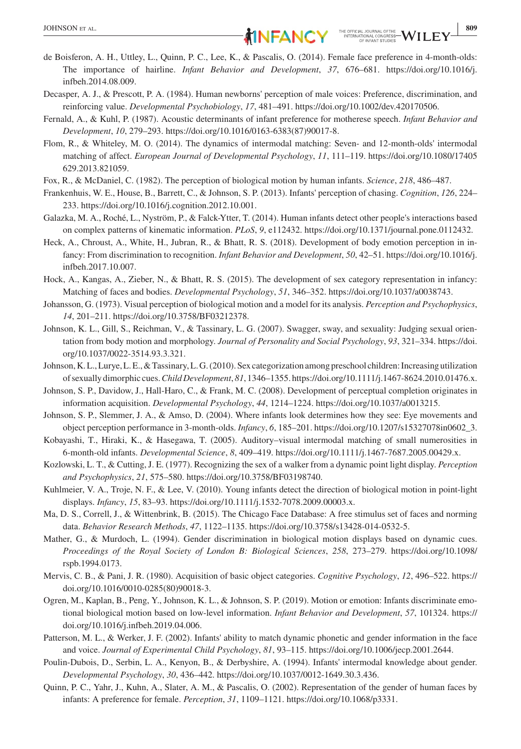- Decasper, A. J., & Prescott, P. A. (1984). Human newborns' perception of male voices: Preference, discrimination, and reinforcing value. *Developmental Psychobiology*, *17*, 481–491. [https://doi.org/10.1002/dev.420170506.](https://doi.org/10.1002/dev.420170506)
- Fernald, A., & Kuhl, P. (1987). Acoustic determinants of infant preference for motherese speech. *Infant Behavior and Development*, *10*, 279–293. [https://doi.org/10.1016/0163-6383\(87\)90017-8.](https://doi.org/10.1016/0163-6383(87)90017-8)
- Flom, R., & Whiteley, M. O. (2014). The dynamics of intermodal matching: Seven- and 12-month-olds' intermodal matching of affect. *European Journal of Developmental Psychology*, *11*, 111–119. [https://doi.org/10.1080/17405](https://doi.org/10.1080/17405629.2013.821059) [629.2013.821059](https://doi.org/10.1080/17405629.2013.821059).
- Fox, R., & McDaniel, C. (1982). The perception of biological motion by human infants. *Science*, *218*, 486–487.
- Frankenhuis, W. E., House, B., Barrett, C., & Johnson, S. P. (2013). Infants' perception of chasing. *Cognition*, *126*, 224– 233. [https://doi.org/10.1016/j.cognition.2012.10.001.](https://doi.org/10.1016/j.cognition.2012.10.001)
- Galazka, M. A., Roché, L., Nyström, P., & Falck-Ytter, T. (2014). Human infants detect other people's interactions based on complex patterns of kinematic information. *PLoS*, *9*, e112432.<https://doi.org/10.1371/journal.pone.0112432>.
- Heck, A., Chroust, A., White, H., Jubran, R., & Bhatt, R. S. (2018). Development of body emotion perception in infancy: From discrimination to recognition. *Infant Behavior and Development*, *50*, 42–51. [https://doi.org/10.1016/j.](https://doi.org/10.1016/j.infbeh.2017.10.007) [infbeh.2017.10.007.](https://doi.org/10.1016/j.infbeh.2017.10.007)
- Hock, A., Kangas, A., Zieber, N., & Bhatt, R. S. (2015). The development of sex category representation in infancy: Matching of faces and bodies. *Developmental Psychology*, *51*, 346–352. [https://doi.org/10.1037/a0038743.](https://doi.org/10.1037/a0038743)
- Johansson, G. (1973). Visual perception of biological motion and a model for its analysis. *Perception and Psychophysics*, *14*, 201–211. [https://doi.org/10.3758/BF03212378.](https://doi.org/10.3758/BF03212378)
- Johnson, K. L., Gill, S., Reichman, V., & Tassinary, L. G. (2007). Swagger, sway, and sexuality: Judging sexual orientation from body motion and morphology. *Journal of Personality and Social Psychology*, *93*, 321–334. [https://doi.](https://doi.org/10.1037/0022-3514.93.3.321) [org/10.1037/0022-3514.93.3.321.](https://doi.org/10.1037/0022-3514.93.3.321)
- Johnson, K. L., Lurye, L. E., & Tassinary, L. G. (2010). Sex categorization among preschool children: Increasing utilization of sexually dimorphic cues. *Child Development*, *81*, 1346–1355.<https://doi.org/10.1111/j.1467-8624.2010.01476.x>.
- Johnson, S. P., Davidow, J., Hall-Haro, C., & Frank, M. C. (2008). Development of perceptual completion originates in information acquisition. *Developmental Psychology*, *44*, 1214–1224. [https://doi.org/10.1037/a0013215.](https://doi.org/10.1037/a0013215)
- Johnson, S. P., Slemmer, J. A., & Amso, D. (2004). Where infants look determines how they see: Eye movements and object perception performance in 3-month-olds. *Infancy*, *6*, 185–201. [https://doi.org/10.1207/s15327078in0602\\_3](https://doi.org/10.1207/s15327078in0602_3).
- Kobayashi, T., Hiraki, K., & Hasegawa, T. (2005). Auditory–visual intermodal matching of small numerosities in 6-month-old infants. *Developmental Science*, *8*, 409–419. [https://doi.org/10.1111/j.1467-7687.2005.00429.x.](https://doi.org/10.1111/j.1467-7687.2005.00429.x)
- Kozlowski, L. T., & Cutting, J. E. (1977). Recognizing the sex of a walker from a dynamic point light display. *Perception and Psychophysics*, *21*, 575–580. <https://doi.org/10.3758/BF03198740>.
- Kuhlmeier, V. A., Troje, N. F., & Lee, V. (2010). Young infants detect the direction of biological motion in point-light displays. *Infancy*, *15*, 83–93. [https://doi.org/10.1111/j.1532-7078.2009.00003.x.](https://doi.org/10.1111/j.1532-7078.2009.00003.x)
- Ma, D. S., Correll, J., & Wittenbrink, B. (2015). The Chicago Face Database: A free stimulus set of faces and norming data. *Behavior Research Methods*, *47*, 1122–1135.<https://doi.org/10.3758/s13428-014-0532-5>.
- Mather, G., & Murdoch, L. (1994). Gender discrimination in biological motion displays based on dynamic cues. *Proceedings of the Royal Society of London B: Biological Sciences*, *258*, 273–279. [https://doi.org/10.1098/](https://doi.org/10.1098/rspb.1994.0173) [rspb.1994.0173](https://doi.org/10.1098/rspb.1994.0173).
- Mervis, C. B., & Pani, J. R. (1980). Acquisition of basic object categories. *Cognitive Psychology*, *12*, 496–522. [https://](https://doi.org/10.1016/0010-0285(80)90018-3) [doi.org/10.1016/0010-0285\(80\)90018-3](https://doi.org/10.1016/0010-0285(80)90018-3).
- Ogren, M., Kaplan, B., Peng, Y., Johnson, K. L., & Johnson, S. P. (2019). Motion or emotion: Infants discriminate emotional biological motion based on low-level information. *Infant Behavior and Development*, *57*, 101324. [https://](https://doi.org/10.1016/j.infbeh.2019.04.006) [doi.org/10.1016/j.infbeh.2019.04.006.](https://doi.org/10.1016/j.infbeh.2019.04.006)
- Patterson, M. L., & Werker, J. F. (2002). Infants' ability to match dynamic phonetic and gender information in the face and voice. *Journal of Experimental Child Psychology*, *81*, 93–115. <https://doi.org/10.1006/jecp.2001.2644>.
- Poulin-Dubois, D., Serbin, L. A., Kenyon, B., & Derbyshire, A. (1994). Infants' intermodal knowledge about gender. *Developmental Psychology*, *30*, 436–442. [https://doi.org/10.1037/0012-1649.30.3.436.](https://doi.org/10.1037/0012-1649.30.3.436)
- Quinn, P. C., Yahr, J., Kuhn, A., Slater, A. M., & Pascalis, O. (2002). Representation of the gender of human faces by infants: A preference for female. *Perception*, *31*, 1109–1121. <https://doi.org/10.1068/p3331>.